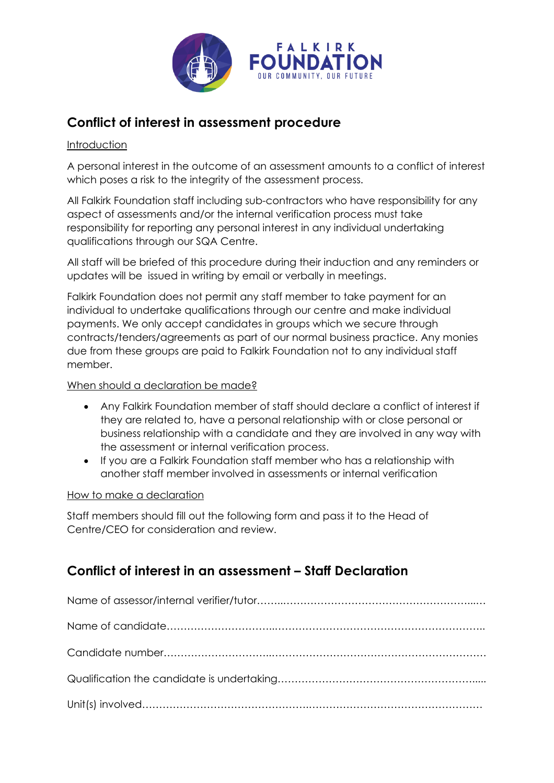

# **Conflict of interest in assessment procedure**

### Introduction

A personal interest in the outcome of an assessment amounts to a conflict of interest which poses a risk to the integrity of the assessment process.

All Falkirk Foundation staff including sub-contractors who have responsibility for any aspect of assessments and/or the internal verification process must take responsibility for reporting any personal interest in any individual undertaking qualifications through our SQA Centre.

All staff will be briefed of this procedure during their induction and any reminders or updates will be issued in writing by email or verbally in meetings.

Falkirk Foundation does not permit any staff member to take payment for an individual to undertake qualifications through our centre and make individual payments. We only accept candidates in groups which we secure through contracts/tenders/agreements as part of our normal business practice. Any monies due from these groups are paid to Falkirk Foundation not to any individual staff member.

### When should a declaration be made?

- Any Falkirk Foundation member of staff should declare a conflict of interest if they are related to, have a personal relationship with or close personal or business relationship with a candidate and they are involved in any way with the assessment or internal verification process.
- If you are a Falkirk Foundation staff member who has a relationship with another staff member involved in assessments or internal verification

#### How to make a declaration

Staff members should fill out the following form and pass it to the Head of Centre/CEO for consideration and review.

## **Conflict of interest in an assessment – Staff Declaration**